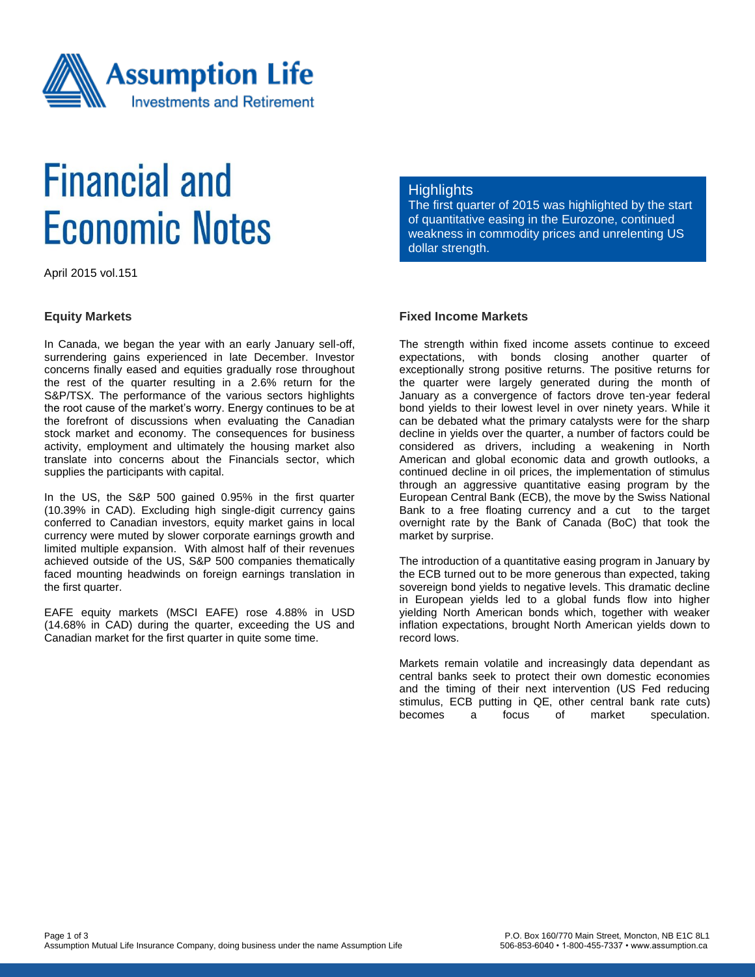

# **Financial and Economic Notes**

April 2015 vol.151

#### **Equity Markets**

In Canada, we began the year with an early January sell-off, surrendering gains experienced in late December. Investor concerns finally eased and equities gradually rose throughout the rest of the quarter resulting in a 2.6% return for the S&P/TSX. The performance of the various sectors highlights the root cause of the market's worry. Energy continues to be at the forefront of discussions when evaluating the Canadian stock market and economy. The consequences for business activity, employment and ultimately the housing market also translate into concerns about the Financials sector, which supplies the participants with capital.

In the US, the S&P 500 gained 0.95% in the first quarter (10.39% in CAD). Excluding high single-digit currency gains conferred to Canadian investors, equity market gains in local currency were muted by slower corporate earnings growth and limited multiple expansion. With almost half of their revenues achieved outside of the US, S&P 500 companies thematically faced mounting headwinds on foreign earnings translation in the first quarter.

EAFE equity markets (MSCI EAFE) rose 4.88% in USD (14.68% in CAD) during the quarter, exceeding the US and Canadian market for the first quarter in quite some time.

### **Highlights**

The first quarter of 2015 was highlighted by the start of quantitative easing in the Eurozone, continued weakness in commodity prices and unrelenting US dollar strength.

## **Fixed Income Markets**

The strength within fixed income assets continue to exceed expectations, with bonds closing another quarter of exceptionally strong positive returns. The positive returns for the quarter were largely generated during the month of January as a convergence of factors drove ten-year federal bond yields to their lowest level in over ninety years. While it can be debated what the primary catalysts were for the sharp decline in yields over the quarter, a number of factors could be considered as drivers, including a weakening in North American and global economic data and growth outlooks, a continued decline in oil prices, the implementation of stimulus through an aggressive quantitative easing program by the European Central Bank (ECB), the move by the Swiss National Bank to a free floating currency and a cut to the target overnight rate by the Bank of Canada (BoC) that took the market by surprise.

The introduction of a quantitative easing program in January by the ECB turned out to be more generous than expected, taking sovereign bond yields to negative levels. This dramatic decline in European yields led to a global funds flow into higher yielding North American bonds which, together with weaker inflation expectations, brought North American yields down to record lows.

Markets remain volatile and increasingly data dependant as central banks seek to protect their own domestic economies and the timing of their next intervention (US Fed reducing stimulus, ECB putting in QE, other central bank rate cuts) becomes a focus of market speculation.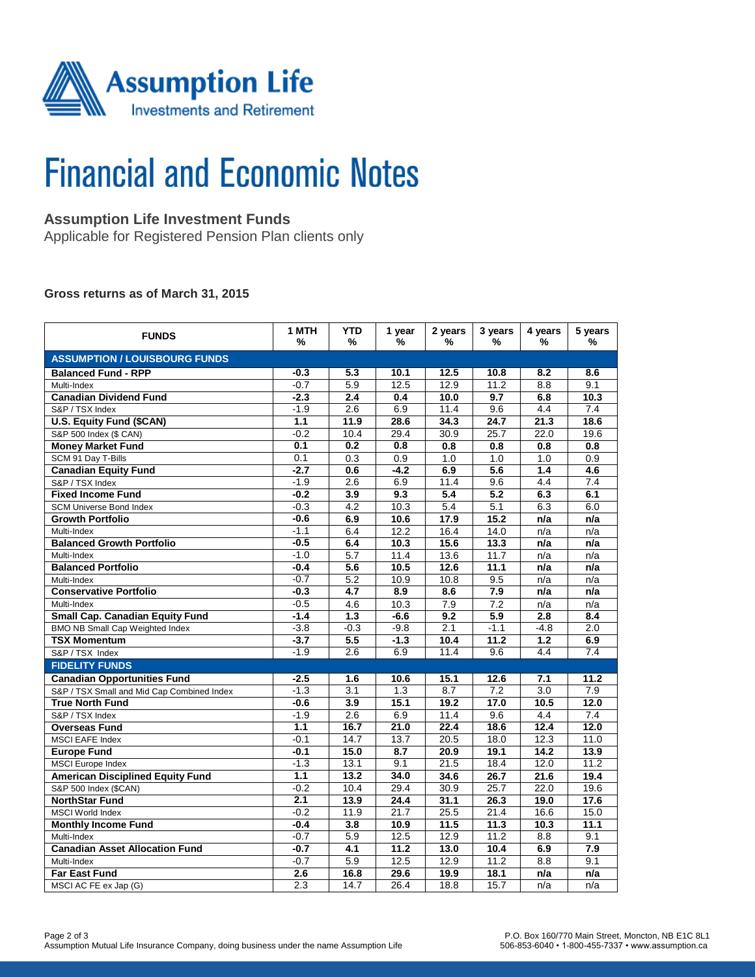

# **Financial and Economic Notes**

# **Assumption Life Investment Funds**

Applicable for Registered Pension Plan clients only

#### **Gross returns as of March 31, 2015**

| <b>FUNDS</b>                               | 1 MTH<br>% | <b>YTD</b><br>%  | 1 year<br>%      | 2 years<br>% | 3 years<br>%     | 4 years<br>%     | 5 years<br>%     |  |  |  |  |
|--------------------------------------------|------------|------------------|------------------|--------------|------------------|------------------|------------------|--|--|--|--|
| <b>ASSUMPTION / LOUISBOURG FUNDS</b>       |            |                  |                  |              |                  |                  |                  |  |  |  |  |
| <b>Balanced Fund - RPP</b>                 | $-0.3$     | 5.3              | 10.1             | 12.5         | 10.8             | 8.2              | 8.6              |  |  |  |  |
| Multi-Index                                | $-0.7$     | 5.9              | 12.5             | 12.9         | 11.2             | 8.8              | 9.1              |  |  |  |  |
| <b>Canadian Dividend Fund</b>              | $-2.3$     | 2.4              | 0.4              | 10.0         | 9.7              | 6.8              | 10.3             |  |  |  |  |
| S&P / TSX Index                            | $-1.9$     | 2.6              | 6.9              | 11.4         | 9.6              | 4.4              | 7.4              |  |  |  |  |
| <b>U.S. Equity Fund (\$CAN)</b>            | 1.1        | 11.9             | 28.6             | 34.3         | 24.7             | 21.3             | 18.6             |  |  |  |  |
| S&P 500 Index (\$ CAN)                     | $-0.2$     | 10.4             | 29.4             | 30.9         | 25.7             | 22.0             | 19.6             |  |  |  |  |
| <b>Money Market Fund</b>                   | 0.1        | 0.2              | 0.8              | 0.8          | 0.8              | 0.8              | 0.8              |  |  |  |  |
| SCM 91 Day T-Bills                         | 0.1        | 0.3              | 0.9              | 1.0          | 1.0              | 1.0              | 0.9              |  |  |  |  |
| <b>Canadian Equity Fund</b>                | $-2.7$     | 0.6              | $-4.2$           | 6.9          | 5.6              | 1.4              | 4.6              |  |  |  |  |
| S&P / TSX Index                            | $-1.9$     | 2.6              | 6.9              | 11.4         | 9.6              | 4.4              | 7.4              |  |  |  |  |
| <b>Fixed Income Fund</b>                   | $-0.2$     | 3.9              | 9.3              | 5.4          | $\overline{5.2}$ | 6.3              | 6.1              |  |  |  |  |
| <b>SCM Universe Bond Index</b>             | $-0.3$     | 4.2              | 10.3             | 5.4          | 5.1              | 6.3              | 6.0              |  |  |  |  |
| <b>Growth Portfolio</b>                    | $-0.6$     | 6.9              | 10.6             | 17.9         | 15.2             | n/a              | n/a              |  |  |  |  |
| Multi-Index                                | $-1.1$     | 6.4              | 12.2             | 16.4         | 14.0             | n/a              | n/a              |  |  |  |  |
| <b>Balanced Growth Portfolio</b>           | $-0.5$     | 6.4              | 10.3             | 15.6         | 13.3             | n/a              | n/a              |  |  |  |  |
| Multi-Index                                | $-1.0$     | 5.7              | 11.4             | 13.6         | 11.7             | n/a              | n/a              |  |  |  |  |
| <b>Balanced Portfolio</b>                  | $-0.4$     | 5.6              | 10.5             | 12.6         | 11.1             | n/a              | n/a              |  |  |  |  |
| Multi-Index                                | $-0.7$     | $\overline{5.2}$ | 10.9             | 10.8         | 9.5              | n/a              | n/a              |  |  |  |  |
| <b>Conservative Portfolio</b>              | $-0.3$     | 4.7              | 8.9              | 8.6          | 7.9              | n/a              | n/a              |  |  |  |  |
| Multi-Index                                | $-0.5$     | 4.6              | 10.3             | 7.9          | 7.2              | n/a              | n/a              |  |  |  |  |
| <b>Small Cap. Canadian Equity Fund</b>     | $-1.4$     | 1.3              | $-6.6$           | 9.2          | 5.9              | 2.8              | 8.4              |  |  |  |  |
| <b>BMO NB Small Cap Weighted Index</b>     | $-3.8$     | $-0.3$           | $-9.8$           | 2.1          | $-1.1$           | $-4.8$           | $\overline{2.0}$ |  |  |  |  |
| <b>TSX Momentum</b>                        | $-3.7$     | 5.5              | $-1.3$           | 10.4         | 11.2             | 1.2              | 6.9              |  |  |  |  |
| S&P / TSX Index                            | $-1.9$     | 2.6              | 6.9              | 11.4         | 9.6              | 4.4              | 7.4              |  |  |  |  |
| <b>FIDELITY FUNDS</b>                      |            |                  |                  |              |                  |                  |                  |  |  |  |  |
| <b>Canadian Opportunities Fund</b>         | $-2.5$     | 1.6              | 10.6             | 15.1         | 12.6             | 7.1              | 11.2             |  |  |  |  |
| S&P / TSX Small and Mid Cap Combined Index | $-1.3$     | 3.1              | 1.3              | 8.7          | 7.2              | $\overline{3.0}$ | 7.9              |  |  |  |  |
| <b>True North Fund</b>                     | $-0.6$     | 3.9              | 15.1             | 19.2         | 17.0             | 10.5             | 12.0             |  |  |  |  |
| S&P / TSX Index                            | $-1.9$     | 2.6              | 6.9              | 11.4         | 9.6              | 4.4              | 7.4              |  |  |  |  |
| <b>Overseas Fund</b>                       | 1.1        | 16.7             | 21.0             | 22.4         | 18.6             | 12.4             | 12.0             |  |  |  |  |
| MSCI EAFE Index                            | $-0.1$     | 14.7             | 13.7             | 20.5         | 18.0             | 12.3             | 11.0             |  |  |  |  |
| <b>Europe Fund</b>                         | $-0.1$     | 15.0             | 8.7              | 20.9         | 19.1             | 14.2             | 13.9             |  |  |  |  |
| <b>MSCI</b> Europe Index                   | $-1.3$     | 13.1             | 9.1              | 21.5         | 18.4             | 12.0             | 11.2             |  |  |  |  |
| <b>American Disciplined Equity Fund</b>    | 1.1        | $\frac{13.2}{2}$ | 34.0             | 34.6         | 26.7             | 21.6             | 19.4             |  |  |  |  |
| S&P 500 Index (\$CAN)                      | $-0.2$     | 10.4             | 29.4             | 30.9         | 25.7             | 22.0             | 19.6             |  |  |  |  |
| <b>NorthStar Fund</b>                      | 2.1        | 13.9             | 24.4             | 31.1         | 26.3             | 19.0             | 17.6             |  |  |  |  |
| <b>MSCI World Index</b>                    | $-0.2$     | 11.9             | 21.7             | 25.5         | 21.4             | 16.6             | 15.0             |  |  |  |  |
| <b>Monthly Income Fund</b>                 | $-0.4$     | 3.8              | 10.9             | 11.5         | 11.3             | 10.3             | 11.1             |  |  |  |  |
| Multi-Index                                | $-0.7$     | 5.9              | 12.5             | 12.9         | 11.2             | 8.8              | 9.1              |  |  |  |  |
| <b>Canadian Asset Allocation Fund</b>      | $-0.7$     | $\overline{4.1}$ | $\frac{1}{11.2}$ | 13.0         | 10.4             | 6.9              | 7.9              |  |  |  |  |
| Multi-Index                                | $-0.7$     | 5.9              | 12.5             | 12.9         | 11.2             | 8.8              | 9.1              |  |  |  |  |
| <b>Far East Fund</b>                       | 2.6        | 16.8             | 29.6             | 19.9         | 18.1             | n/a              | n/a              |  |  |  |  |
| MSCI AC FE ex Jap (G)                      | 2.3        | 14.7             | 26.4             | 18.8         | 15.7             | n/a              | n/a              |  |  |  |  |